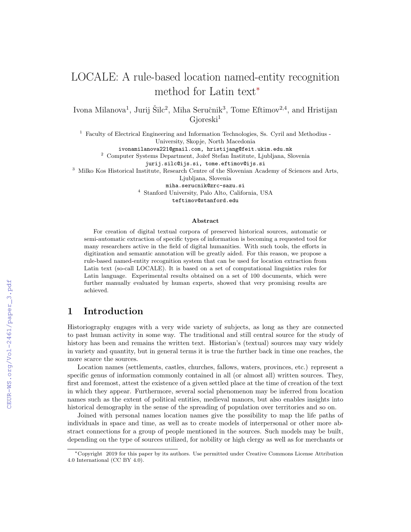# LOCALE: A rule-based location named-entity recognition method for Latin text<sup>∗</sup>

Ivona Milanova<sup>1</sup>, Jurij Šilc<sup>2</sup>, Miha Seručnik<sup>3</sup>, Tome Eftimov<sup>2,4</sup>, and Hristijan  $G$ ioreski<sup>1</sup>

<sup>1</sup> Faculty of Electrical Engineering and Information Technologies, Ss. Cyril and Methodius - University, Skopje, North Macedonia

ivonamilanova221@gmail.com, hristijang@feit.ukim.edu.mk

 $^2$  Computer Systems Department, Jožef Stefan Institute, Ljubljana, Slovenia

jurij.silc@ijs.si, tome.eftimov@ijs.si

<sup>3</sup> Milko Kos Historical Institute, Research Centre of the Slovenian Academy of Sciences and Arts,

Ljubljana, Slovenia

miha.serucnik@zrc-sazu.si

<sup>4</sup> Stanford University, Palo Alto, California, USA

teftimov@stanford.edu

#### Abstract

For creation of digital textual corpora of preserved historical sources, automatic or semi-automatic extraction of specific types of information is becoming a requested tool for many researchers active in the field of digital humanities. With such tools, the efforts in digitization and semantic annotation will be greatly aided. For this reason, we propose a rule-based named-entity recognition system that can be used for location extraction from Latin text (so-call LOCALE). It is based on a set of computational linguistics rules for Latin language. Experimental results obtained on a set of 100 documents, which were further manually evaluated by human experts, showed that very promising results are achieved.

### 1 Introduction

Historiography engages with a very wide variety of subjects, as long as they are connected to past human activity in some way. The traditional and still central source for the study of history has been and remains the written text. Historian's (textual) sources may vary widely in variety and quantity, but in general terms it is true the further back in time one reaches, the more scarce the sources.

Location names (settlements, castles, churches, fallows, waters, provinces, etc.) represent a specific genus of information commonly contained in all (or almost all) written sources. They, first and foremost, attest the existence of a given settled place at the time of creation of the text in which they appear. Furthermore, several social phenomenon may be inferred from location names such as the extent of political entities, medieval manors, but also enables insights into historical demography in the sense of the spreading of population over territories and so on.

Joined with personal names location names give the possibility to map the life paths of individuals in space and time, as well as to create models of interpersonal or other more abstract connections for a group of people mentioned in the sources. Such models may be built, depending on the type of sources utilized, for nobility or high clergy as well as for merchants or

<sup>∗</sup>Copyright 2019 for this paper by its authors. Use permitted under Creative Commons License Attribution 4.0 International (CC BY 4.0).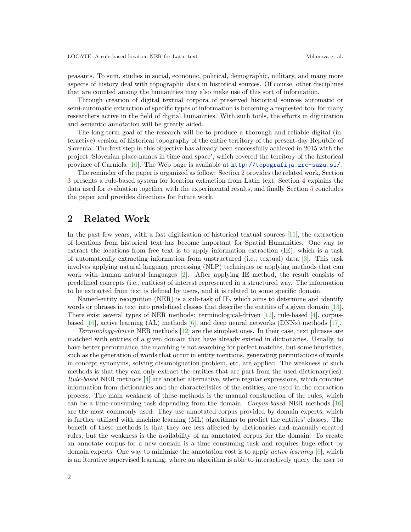peasants. To sum, studies in social, economic, political, demographic, military, and many more aspects of history deal with topographic data in historical sources. Of course, other disciplines that are counted among the humanities may also make use of this sort of information.

Through creation of digital textual corpora of preserved historical sources automatic or semi-automatic extraction of specific types of information is becoming a requested tool for many researchers active in the field of digital humanities. With such tools, the efforts in digitization and semantic annotation will be greatly aided.

The long-term goal of the research will be to produce a thorough and reliable digital (interactive) version of historical topography of the entire territory of the present-day Republic of Slovenia. The first step in this objective has already been successfully achieved in 2015 with the project 'Slovenian place-names in time and space', which covered the territory of the historical province of Carniola [\[10\]](#page-7-0). The Web page is available at <http://topografija.zrc-sazu.si/>.

The reminder of the paper is organized as follow: Section [2](#page-1-0) provides the related work, Section [3](#page-2-0) presents a rule-based system for location extraction from Latin text, Section [4](#page-4-0) explains the data used for evaluation together with the experimental results, and finally Section [5](#page-6-0) concludes the paper and provides directions for future work.

### <span id="page-1-0"></span>2 Related Work

In the past few years, with a fast digitization of historical textual sources  $[11]$ , the extraction of locations from historical text has become important for Spatial Humanities. One way to extract the locations from free text is to apply information extraction (IE), which is a task of automatically extracting information from unstructured (i.e., textual) data [\[3\]](#page-6-1). This task involves applying natural language processing (NLP) techniques or applying methods that can work with human natural languages [\[2\]](#page-6-2). After applying IE method, the result consists of predefined concepts (i.e., entities) of interest represented in a structured way. The information to be extracted from text is defined by users, and it is related to some specific domain.

Named-entity recognition (NER) is a sub-task of IE, which aims to determine and identify words or phrases in text into predefined classes that describe the entities of a given domain [\[13\]](#page-7-2). There exist several types of NER methods: terminological-driven [\[12\]](#page-7-3), rule-based [\[4\]](#page-6-3), corpusbased [\[16\]](#page-7-4), active learning (AL) methods [\[6\]](#page-7-5), and deep neural networks (DNNs) methods [\[17\]](#page-7-6).

Terminology-driven NER methods [\[12\]](#page-7-3) are the simplest ones. In their case, text phrases are matched with entities of a given domain that have already existed in dictionaries. Usually, to have better performance, the marching is not searching for perfect matches, but some heuristics, such as the generation of words that occur in entity mentions, generating permutations of words in concept synonyms, solving disambiguation problem, etc, are applied. The weakness of such methods is that they can only extract the entities that are part from the used dictionary(ies). Rule-based NER methods [\[4\]](#page-6-3) are another alternative, where regular expressions, which combine information from dictionaries and the characteristics of the entities, are used in the extraction process. The main weakness of these methods is the manual construction of the rules, which can be a time-consuming task depending from the domain. Corpus-based NER methods [\[16\]](#page-7-4) are the most commonly used. They use annotated corpus provided by domain experts, which is further utilized with machine learning (ML) algorithms to predict the entities' classes. The benefit of these methods is that they are less affected by dictionaries and manually created rules, but the weakness is the availability of an annotated corpus for the domain. To create an annotate corpus for a new domain is a time consuming task and requires huge effort by domain experts. One way to minimize the annotation cost is to apply *active learning*  $[6]$ , which is an iterative supervised learning, where an algorithm is able to interactively query the user to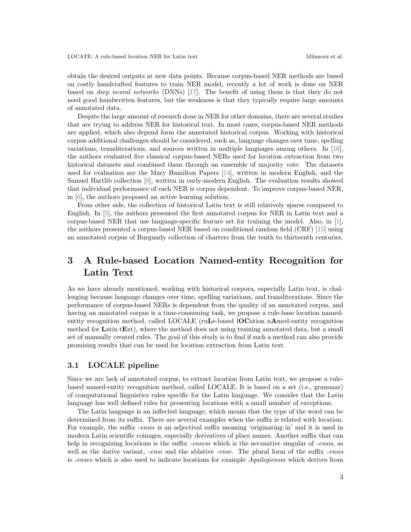obtain the desired outputs at new data points. Because corpus-based NER methods are based on costly handcrafted features to train NER model, recently a lot of work is done on NER based on deep neural networks (DNNs) [\[17\]](#page-7-6). The benefit of using them is that they do not need good handwritten features, but the weakness is that they typically require large amounts of annotated data.

Despite the large amount of research done in NER for other domains, there are several studies that are trying to address NER for historical text. In most cases, corpus-based NER methods are applied, which also depend form the annotated historical corpus. Working with historical corpus additional challenges should be considered, such as, language changes over time, spelling variations, transliterations, and sources written in multiple languages among others. In [\[16\]](#page-7-4), the authors evaluated five classical corpus-based NERs used for location extraction from two historical datasets and combined them through an ensemble of majority vote. The datasets used for evaluation are the Mary Hamilton Papers [\[14\]](#page-7-7), written in modern English, and the Samuel Hartlib collection [\[8\]](#page-7-8), written in early-modern English. The evaluation results showed that individual performance of each NER is corpus dependent. To improve corpus-based NER, in [\[6\]](#page-7-5), the authors proposed an active learning solution.

From other side, the collection of historical Latin text is still relatively sparse compared to English. In [\[5\]](#page-6-4), the authors presented the first annotated corpus for NER in Latin text and a corpus-based NER that use language-specific feature set for training the model. Also, in [\[1\]](#page-6-5), the authors presented a corpus-based NER based on conditional random field (CRF) [\[15\]](#page-7-9) using an annotated corpus of Burgundy collection of charters from the tenth to thirteenth centuries.

# <span id="page-2-0"></span>3 A Rule-based Location Named-entity Recognition for Latin Text

As we have already mentioned, working with historical corpora, especially Latin text, is challenging because language changes over time, spelling variations, and transliterations. Since the performance of corpus-based NERs is dependent from the quality of an annotated corpus, and having an annotated corpus is a time-consuming task, we propose a rule-base location namedentity recognition method, called LOCALE (ruLe-based lOCation nAmed-entity recognition method for Latin tExt), where the method does not using training annotated data, but a small set of manually created rules. The goal of this study is to find if such a method can also provide promising results that can be used for location extraction from Latin text.

#### 3.1 LOCALE pipeline

Since we are lack of annotated corpus, to extract location from Latin text, we propose a rulebased named-entity recognition method, called LOCALE. It is based on a set (i.e., grammar) of computational linguistics rules specific for the Latin language. We consider that the Latin language has well defined rules for presenting locations with a small number of exceptions.

The Latin language is an inflected language, which means that the type of the word can be determined from its suffix. There are several examples when the suffix is related with location. For example, the suffix -ensis is an adjectival suffix meaning 'originating in' and it is used in modern Latin scientific coinages, especially derivatives of place names. Another suffix that can help in recognizing locations is the suffix -ensem which is the accusative singular of -ensis, as well as the dative variant, *-ensi* and the ablative *-ense*. The plural form of the suffix *-ensis* is -enses which is also used to indicate locations for example Aquilegiensis which derives from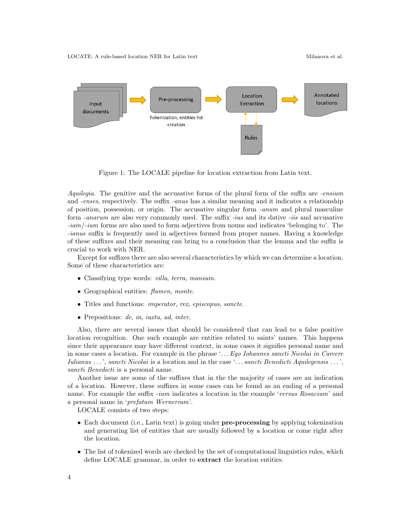

<span id="page-3-0"></span>Figure 1: The LOCALE pipeline for location extraction from Latin text.

Aquilegia. The genitive and the accusative forms of the plural form of the suffix are -ensium and -enses, respectively. The suffix -anus has a similar meaning and it indicates a relationship of position, possession, or origin. The accusative singular form -anum and plural masculine form -anarum are also very commonly used. The suffix -ius and its dative -iis and accusative -iam/-ium forms are also used to form adjectives from nouns and indicates 'belonging to'. The -ianus suffix is frequently used in adjectives formed from proper names. Having a knowledge of these suffixes and their meaning can bring to a conclusion that the lemma and the suffix is crucial to work with NER.

Except for suffixes there are also several characteristics by which we can determine a location. Some of these characteristics are:

- Classifying type words: *villa, terra, mansum.*
- Geographical entities: flumen, monte.
- Titles and functions: imperator, rex, episcopus, sancte.
- Prepositions: de, in, iuxta, ad, inter.

Also, there are several issues that should be considered that can lead to a false positive location recognition. One such example are entities related to saints' names. This happens since their appearance may have different context, in some cases it signifies personal name and in some cases a location. For example in the phrase '. . . Ego Iohannes sancti Nicolai in Carcere Iulianus . . . ', sancti Nicolai is a location and in the case '. . . sancti Benedicti Aquilegensis . . . ', sancti Benedicti is a personal name.

Another issue are some of the suffixes that in the the majority of cases are an indication of a location. However, these suffixes in some cases can be found as an ending of a personal name. For example the suffix -ium indicates a location in the example 'versus Rosacium' and a personal name in 'prefatum Wernerium'.

LOCALE consists of two steps:

- Each document (i.e., Latin text) is going under **pre-processing** by applying tokenization and generating list of entities that are usually followed by a location or come right after the location.
- The list of tokenized words are checked by the set of computational linguistics rules, which define LOCALE grammar, in order to extract the location entities.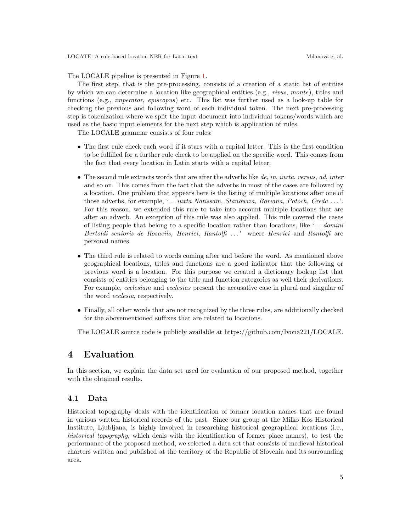The LOCALE pipeline is presented in Figure [1.](#page-3-0)

The first step, that is the pre-processing, consists of a creation of a static list of entities by which we can determine a location like geographical entities (e.g., rivus, monte), titles and functions (e.g., *imperator*, *episcopus*) etc. This list was further used as a look-up table for checking the previous and following word of each individual token. The next pre-processing step is tokenization where we split the input document into individual tokens/words which are used as the basic input elements for the next step which is application of rules.

The LOCALE grammar consists of four rules:

- The first rule check each word if it stars with a capital letter. This is the first condition to be fulfilled for a further rule check to be applied on the specific word. This comes from the fact that every location in Latin starts with a capital letter.
- $\bullet$  The second rule extracts words that are after the adverbs like  $de, in, iuxta, versus, ad, inter$ and so on. This comes from the fact that the adverbs in most of the cases are followed by a location. One problem that appears here is the listing of multiple locations after one of those adverbs, for example, '... *iuxta Natissam, Stanowiza, Boriana, Potoch, Creda* ...'. For this reason, we extended this rule to take into account multiple locations that are after an adverb. An exception of this rule was also applied. This rule covered the cases of listing people that belong to a specific location rather than locations, like '...  $domini$ Bertoldi senioris de Rosaciis, Henrici, Rantolfi ...' where Henrici and Rantolfi are personal names.
- The third rule is related to words coming after and before the word. As mentioned above geographical locations, titles and functions are a good indicator that the following or previous word is a location. For this purpose we created a dictionary lookup list that consists of entities belonging to the title and function categories as well their derivations. For example, ecclesiam and ecclesias present the accusative case in plural and singular of the word ecclesia, respectively.
- Finally, all other words that are not recognized by the three rules, are additionally checked for the abovementioned suffixes that are related to locations.

The LOCALE source code is publicly available at https://github.com/Ivona221/LOCALE.

#### <span id="page-4-0"></span>4 Evaluation

In this section, we explain the data set used for evaluation of our proposed method, together with the obtained results.

#### 4.1 Data

Historical topography deals with the identification of former location names that are found in various written historical records of the past. Since our group at the Milko Kos Historical Institute, Ljubljana, is highly involved in researching historical geographical locations (i.e., historical topography, which deals with the identification of former place names), to test the performance of the proposed method, we selected a data set that consists of medieval historical charters written and published at the territory of the Republic of Slovenia and its surrounding area.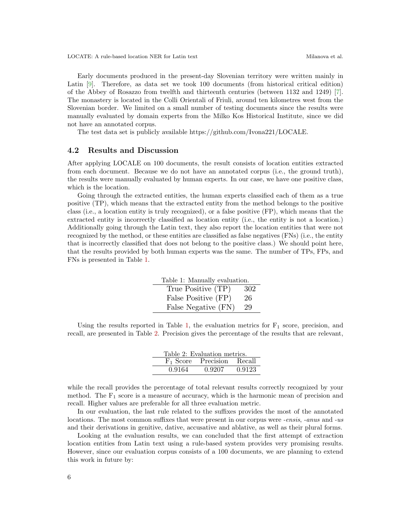Early documents produced in the present-day Slovenian territory were written mainly in Latin [\[9\]](#page-7-10). Therefore, as data set we took 100 documents (from historical critical edition) of the Abbey of Rosazzo from twelfth and thirteenth centuries (between 1132 and 1249) [\[7\]](#page-7-11). The monastery is located in the Colli Orientali of Friuli, around ten kilometres west from the Slovenian border. We limited on a small number of testing documents since the results were manually evaluated by domain experts from the Milko Kos Historical Institute, since we did not have an annotated corpus.

The test data set is publicly available https://github.com/Ivona221/LOCALE.

#### 4.2 Results and Discussion

After applying LOCALE on 100 documents, the result consists of location entities extracted from each document. Because we do not have an annotated corpus (i.e., the ground truth), the results were manually evaluated by human experts. In our case, we have one positive class, which is the location.

Going through the extracted entities, the human experts classified each of them as a true positive (TP), which means that the extracted entity from the method belongs to the positive class (i.e., a location entity is truly recognized), or a false positive (FP), which means that the extracted entity is incorrectly classified as location entity (i.e., the entity is not a location.) Additionally going through the Latin text, they also report the location entities that were not recognized by the method, or these entities are classified as false negatives (FNs) (i.e., the entity that is incorrectly classified that does not belong to the positive class.) We should point here, that the results provided by both human experts was the same. The number of TPs, FPs, and FNs is presented in Table [1.](#page-5-0)

<span id="page-5-0"></span>

| Table 1: Manually evaluation. |     |  |
|-------------------------------|-----|--|
| True Positive (TP)            | 302 |  |
| False Positive (FP)           | 26  |  |
| False Negative (FN)           | 29  |  |

Using the results reported in Table [1,](#page-5-0) the evaluation metrics for  $F_1$  score, precision, and recall, are presented in Table [2.](#page-5-1) Precision gives the percentage of the results that are relevant,

<span id="page-5-1"></span>

| Table 2: Evaluation metrics. |                              |        |
|------------------------------|------------------------------|--------|
|                              | $F_1$ Score Precision Recall |        |
| 0.9164                       | 0.9207                       | 0.9123 |

while the recall provides the percentage of total relevant results correctly recognized by your method. The  $F_1$  score is a measure of accuracy, which is the harmonic mean of precision and recall. Higher values are preferable for all three evaluation metric.

In our evaluation, the last rule related to the suffixes provides the most of the annotated locations. The most common suffixes that were present in our corpus were *-ensis, -anus* and *-us* and their derivations in genitive, dative, accusative and ablative, as well as their plural forms.

Looking at the evaluation results, we can concluded that the first attempt of extraction location entities from Latin text using a rule-based system provides very promising results. However, since our evaluation corpus consists of a 100 documents, we are planning to extend this work in future by: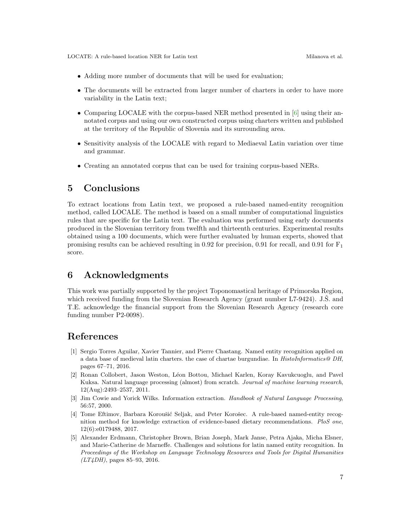- Adding more number of documents that will be used for evaluation;
- The documents will be extracted from larger number of charters in order to have more variability in the Latin text;
- Comparing LOCALE with the corpus-based NER method presented in [\[6\]](#page-7-5) using their annotated corpus and using our own constructed corpus using charters written and published at the territory of the Republic of Slovenia and its surrounding area.
- Sensitivity analysis of the LOCALE with regard to Mediaeval Latin variation over time and grammar.
- Creating an annotated corpus that can be used for training corpus-based NERs.

## <span id="page-6-0"></span>5 Conclusions

To extract locations from Latin text, we proposed a rule-based named-entity recognition method, called LOCALE. The method is based on a small number of computational linguistics rules that are specific for the Latin text. The evaluation was performed using early documents produced in the Slovenian territory from twelfth and thirteenth centuries. Experimental results obtained using a 100 documents, which were further evaluated by human experts, showed that promising results can be achieved resulting in 0.92 for precision, 0.91 for recall, and 0.91 for  $F_1$ score.

### 6 Acknowledgments

This work was partially supported by the project Toponomastical heritage of Primorska Region, which received funding from the Slovenian Research Agency (grant number  $L7-9424$ ). J.S. and T.E. acknowledge the financial support from the Slovenian Research Agency (research core funding number P2-0098).

#### References

- <span id="page-6-5"></span>[1] Sergio Torres Aguilar, Xavier Tannier, and Pierre Chastang. Named entity recognition applied on a data base of medieval latin charters. the case of chartae burgundiae. In HistoInformatics@ DH, pages 67–71, 2016.
- <span id="page-6-2"></span>[2] Ronan Collobert, Jason Weston, L´eon Bottou, Michael Karlen, Koray Kavukcuoglu, and Pavel Kuksa. Natural language processing (almost) from scratch. *Journal of machine learning research*, 12(Aug):2493–2537, 2011.
- <span id="page-6-1"></span>[3] Jim Cowie and Yorick Wilks. Information extraction. Handbook of Natural Language Processing, 56:57, 2000.
- <span id="page-6-3"></span>[4] Tome Eftimov, Barbara Koroušić Seljak, and Peter Korošec. A rule-based named-entity recognition method for knowledge extraction of evidence-based dietary recommendations. PloS one, 12(6):e0179488, 2017.
- <span id="page-6-4"></span>[5] Alexander Erdmann, Christopher Brown, Brian Joseph, Mark Janse, Petra Ajaka, Micha Elsner, and Marie-Catherine de Marneffe. Challenges and solutions for latin named entity recognition. In Proceedings of the Workshop on Language Technology Resources and Tools for Digital Humanities  $(LT4DH)$ , pages 85–93, 2016.